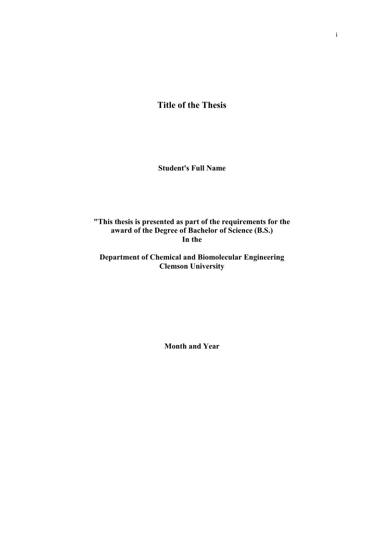**Title of the Thesis** 

**Student's Full Name** 

**"This thesis is presented as part of the requirements for the award of the Degree of Bachelor of Science (B.S.) In the**

**Department of Chemical and Biomolecular Engineering Clemson University**

**Month and Year**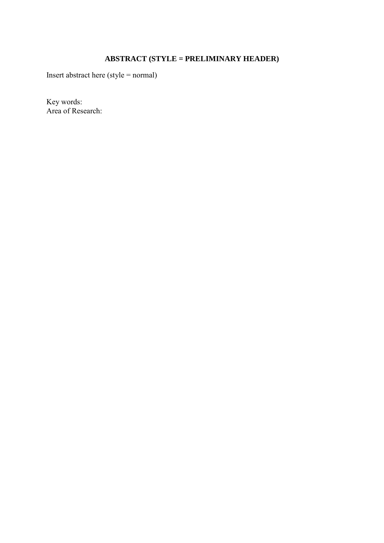# **ABSTRACT (STYLE = PRELIMINARY HEADER)**

Insert abstract here (style = normal)

Key words: Area of Research: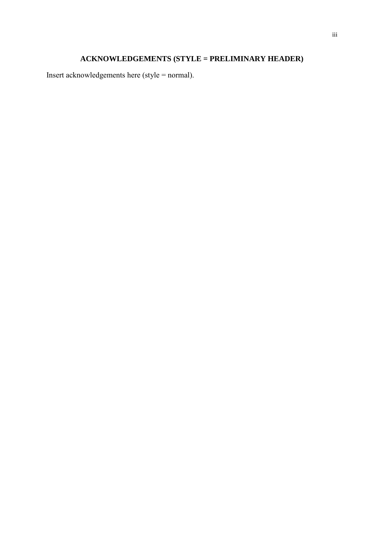# **ACKNOWLEDGEMENTS (STYLE = PRELIMINARY HEADER)**

Insert acknowledgements here (style = normal).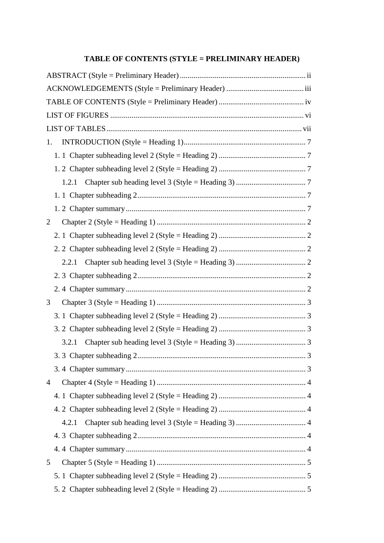### **TABLE OF CONTENTS (STYLE = PRELIMINARY HEADER)**

| 1.             |  |  |  |
|----------------|--|--|--|
|                |  |  |  |
|                |  |  |  |
|                |  |  |  |
|                |  |  |  |
|                |  |  |  |
| 2              |  |  |  |
|                |  |  |  |
|                |  |  |  |
| 2.2.1          |  |  |  |
|                |  |  |  |
|                |  |  |  |
| 3              |  |  |  |
|                |  |  |  |
|                |  |  |  |
|                |  |  |  |
| 3.2.1          |  |  |  |
|                |  |  |  |
|                |  |  |  |
| $\overline{4}$ |  |  |  |
|                |  |  |  |
|                |  |  |  |
| 4.2.1          |  |  |  |
|                |  |  |  |
|                |  |  |  |
| 5              |  |  |  |
|                |  |  |  |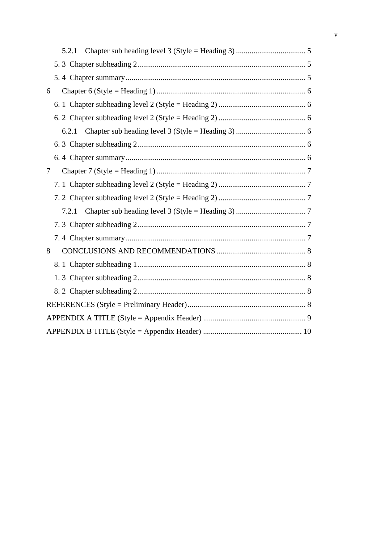|        | 5.2.1 |
|--------|-------|
|        |       |
|        |       |
| 6      |       |
|        |       |
|        |       |
|        |       |
|        |       |
|        |       |
| $\tau$ |       |
|        |       |
|        |       |
|        |       |
|        |       |
|        |       |
| 8      |       |
|        |       |
|        |       |
|        |       |
|        |       |
|        |       |
|        |       |
|        |       |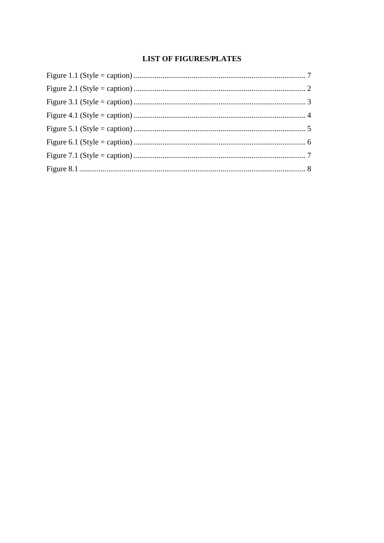#### **LIST OF FIGURES/PLATES**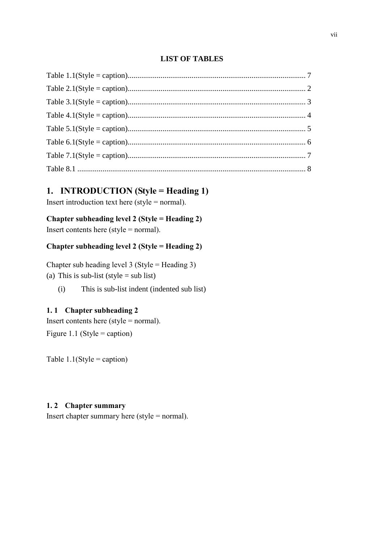#### **LIST OF TABLES**

### **1. INTRODUCTION (Style = Heading 1)**

Insert introduction text here (style  $=$  normal).

# **Chapter subheading level 2 (Style = Heading 2)**

Insert contents here (style = normal).

#### **Chapter subheading level 2 (Style = Heading 2)**

Chapter sub heading level 3 (Style = Heading 3) (a) This is sub-list (style  $=$  sub list)

(i) This is sub-list indent (indented sub list)

#### **1. 1 Chapter subheading 2**

Insert contents here (style = normal). Figure 1.1 (Style = caption)

Table  $1.1$ (Style = caption)

#### **1. 2 Chapter summary**

Insert chapter summary here (style = normal).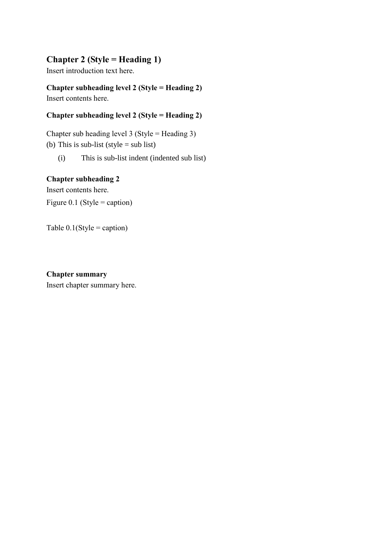# **Chapter 2 (Style = Heading 1)**

Insert introduction text here.

**Chapter subheading level 2 (Style = Heading 2)** Insert contents here.

# **Chapter subheading level 2 (Style = Heading 2)**

Chapter sub heading level 3 (Style = Heading 3) (b) This is sub-list (style  $=$  sub list)

(i) This is sub-list indent (indented sub list)

#### **Chapter subheading 2**

Insert contents here. Figure 0.1 (Style = caption)

Table  $0.1$ (Style = caption)

#### **Chapter summary**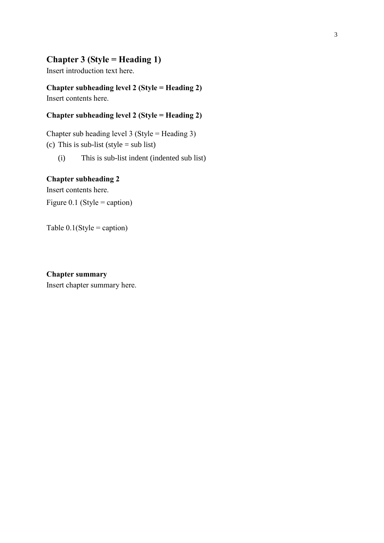### **Chapter 3 (Style = Heading 1)**

Insert introduction text here.

**Chapter subheading level 2 (Style = Heading 2)** Insert contents here.

# **Chapter subheading level 2 (Style = Heading 2)**

Chapter sub heading level 3 (Style = Heading 3) (c) This is sub-list (style = sub list)

(i) This is sub-list indent (indented sub list)

#### **Chapter subheading 2**

Insert contents here. Figure 0.1 (Style = caption)

Table  $0.1$ (Style = caption)

#### **Chapter summary**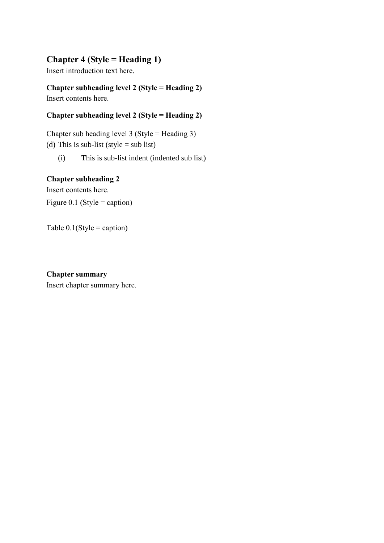# **Chapter 4 (Style = Heading 1)**

Insert introduction text here.

**Chapter subheading level 2 (Style = Heading 2)** Insert contents here.

# **Chapter subheading level 2 (Style = Heading 2)**

Chapter sub heading level 3 (Style = Heading 3) (d) This is sub-list (style = sub list)

(i) This is sub-list indent (indented sub list)

#### **Chapter subheading 2**

Insert contents here. Figure 0.1 (Style = caption)

Table  $0.1$ (Style = caption)

#### **Chapter summary**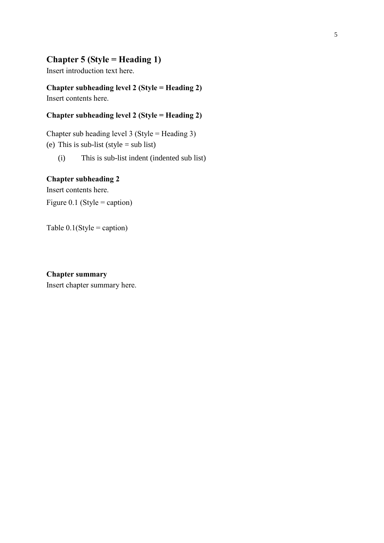### **Chapter 5 (Style = Heading 1)**

Insert introduction text here.

**Chapter subheading level 2 (Style = Heading 2)** Insert contents here.

# **Chapter subheading level 2 (Style = Heading 2)**

Chapter sub heading level 3 (Style = Heading 3) (e) This is sub-list (style = sub list)

(i) This is sub-list indent (indented sub list)

#### **Chapter subheading 2**

Insert contents here. Figure 0.1 (Style = caption)

Table  $0.1$ (Style = caption)

#### **Chapter summary**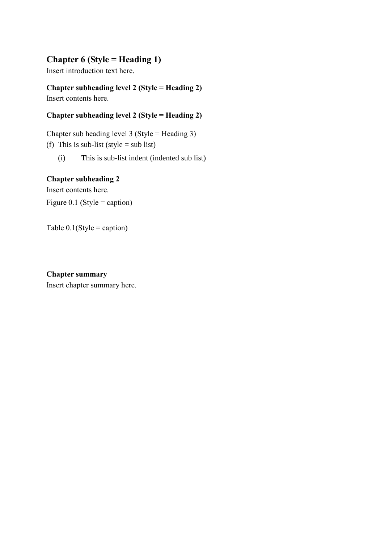# **Chapter 6 (Style = Heading 1)**

Insert introduction text here.

**Chapter subheading level 2 (Style = Heading 2)** Insert contents here.

# **Chapter subheading level 2 (Style = Heading 2)**

Chapter sub heading level 3 (Style = Heading 3) (f) This is sub-list (style = sub list)

(i) This is sub-list indent (indented sub list)

#### **Chapter subheading 2**

Insert contents here. Figure 0.1 (Style = caption)

Table  $0.1$ (Style = caption)

#### **Chapter summary**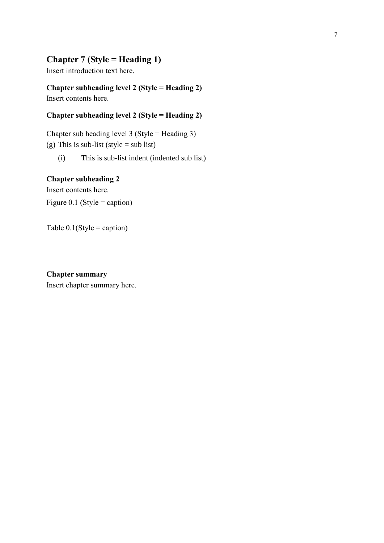### **Chapter 7 (Style = Heading 1)**

Insert introduction text here.

**Chapter subheading level 2 (Style = Heading 2)** Insert contents here.

# **Chapter subheading level 2 (Style = Heading 2)**

Chapter sub heading level 3 (Style = Heading 3) (g) This is sub-list (style = sub list)

(i) This is sub-list indent (indented sub list)

#### **Chapter subheading 2**

Insert contents here. Figure 0.1 (Style = caption)

Table  $0.1$ (Style = caption)

#### **Chapter summary**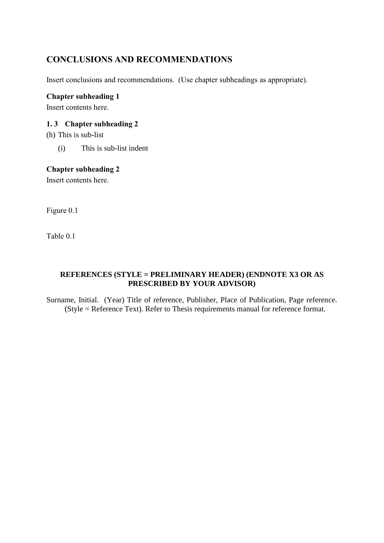# **CONCLUSIONS AND RECOMMENDATIONS**

Insert conclusions and recommendations. (Use chapter subheadings as appropriate).

#### **Chapter subheading 1**

Insert contents here.

#### **1. 3 Chapter subheading 2**

(h) This is sub-list

(i) This is sub-list indent

#### **Chapter subheading 2**

Insert contents here.

Figure 0.1

Table 0.1

#### **REFERENCES (STYLE = PRELIMINARY HEADER) (ENDNOTE X3 OR AS PRESCRIBED BY YOUR ADVISOR)**

Surname, Initial. (Year) Title of reference, Publisher, Place of Publication, Page reference. (Style = Reference Text). Refer to Thesis requirements manual for reference format.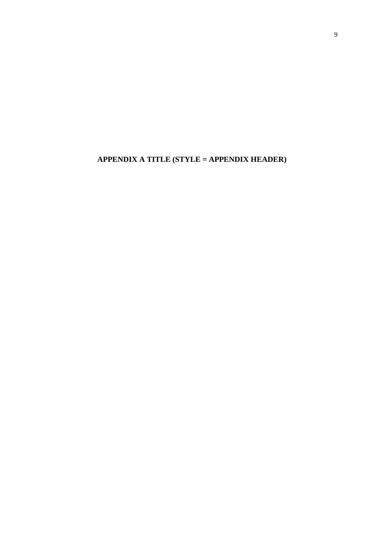**APPENDIX A TITLE (STYLE = APPENDIX HEADER)**